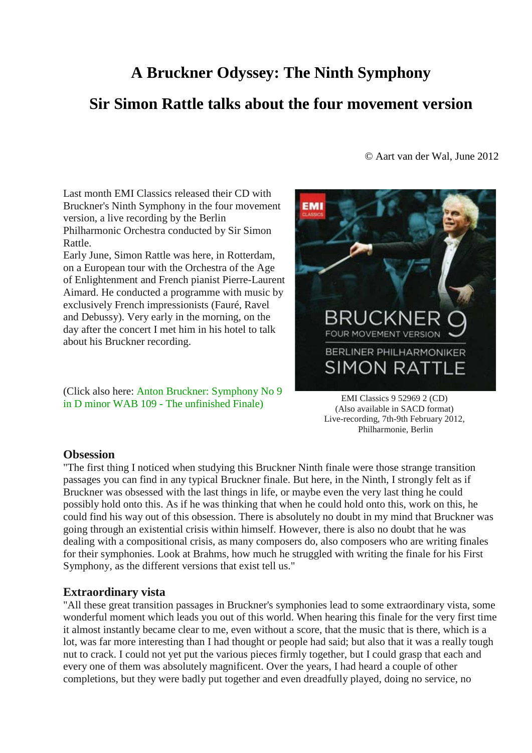# **A Bruckner Odyssey: The Ninth Symphony Sir Simon Rattle talks about the four movement version**

Last month EMI Classics released their CD with Bruckner's Ninth Symphony in the four movement version, a live recording by the Berlin Philharmonic Orchestra conducted by Sir Simon Rattle.

Early June, Simon Rattle was here, in Rotterdam, on a European tour with the Orchestra of the Age of Enlightenment and French pianist Pierre-Laurent Aimard. He conducted a programme with music by exclusively French impressionists (Fauré, Ravel and Debussy). Very early in the morning, on the day after the concert I met him in his hotel to talk about his Bruckner recording.

(Click also here: Anton Bruckner: Symphony No 9 in D minor WAB 109 - The unfinished Finale)

© Aart van der Wal, June 2012



EMI Classics 9 52969 2 (CD) (Also available in SACD format) Live-recording, 7th-9th February 2012, Philharmonie, Berlin

### **Obsession**

"The first thing I noticed when studying this Bruckner Ninth finale were those strange transition passages you can find in any typical Bruckner finale. But here, in the Ninth, I strongly felt as if Bruckner was obsessed with the last things in life, or maybe even the very last thing he could possibly hold onto this. As if he was thinking that when he could hold onto this, work on this, he could find his way out of this obsession. There is absolutely no doubt in my mind that Bruckner was going through an existential crisis within himself. However, there is also no doubt that he was dealing with a compositional crisis, as many composers do, also composers who are writing finales for their symphonies. Look at Brahms, how much he struggled with writing the finale for his First Symphony, as the different versions that exist tell us."

### **Extraordinary vista**

"All these great transition passages in Bruckner's symphonies lead to some extraordinary vista, some wonderful moment which leads you out of this world. When hearing this finale for the very first time it almost instantly became clear to me, even without a score, that the music that is there, which is a lot, was far more interesting than I had thought or people had said; but also that it was a really tough nut to crack. I could not yet put the various pieces firmly together, but I could grasp that each and every one of them was absolutely magnificent. Over the years, I had heard a couple of other completions, but they were badly put together and even dreadfully played, doing no service, no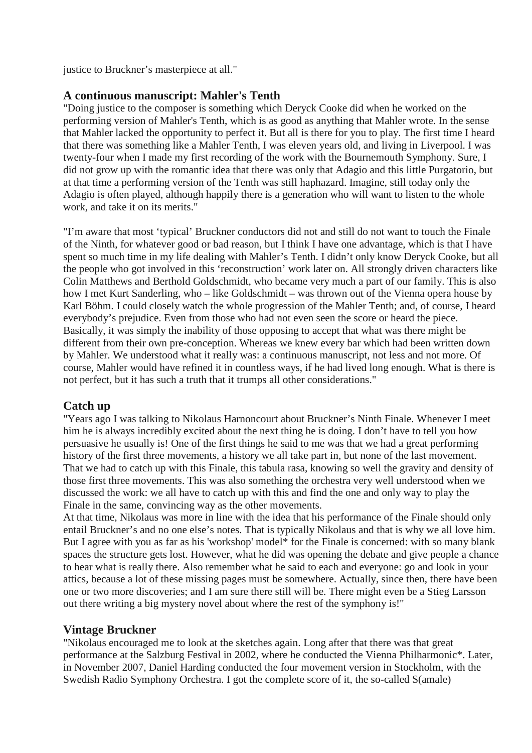justice to Bruckner's masterpiece at all."

## **A continuous manuscript: Mahler's Tenth**

"Doing justice to the composer is something which Deryck Cooke did when he worked on the performing version of Mahler's Tenth, which is as good as anything that Mahler wrote. In the sense that Mahler lacked the opportunity to perfect it. But all is there for you to play. The first time I heard that there was something like a Mahler Tenth, I was eleven years old, and living in Liverpool. I was twenty-four when I made my first recording of the work with the Bournemouth Symphony. Sure, I did not grow up with the romantic idea that there was only that Adagio and this little Purgatorio, but at that time a performing version of the Tenth was still haphazard. Imagine, still today only the Adagio is often played, although happily there is a generation who will want to listen to the whole work, and take it on its merits."

"I'm aware that most 'typical' Bruckner conductors did not and still do not want to touch the Finale of the Ninth, for whatever good or bad reason, but I think I have one advantage, which is that I have spent so much time in my life dealing with Mahler's Tenth. I didn't only know Deryck Cooke, but all the people who got involved in this 'reconstruction' work later on. All strongly driven characters like Colin Matthews and Berthold Goldschmidt, who became very much a part of our family. This is also how I met Kurt Sanderling, who – like Goldschmidt – was thrown out of the Vienna opera house by Karl Böhm. I could closely watch the whole progression of the Mahler Tenth; and, of course, I heard everybody's prejudice. Even from those who had not even seen the score or heard the piece. Basically, it was simply the inability of those opposing to accept that what was there might be different from their own pre-conception. Whereas we knew every bar which had been written down by Mahler. We understood what it really was: a continuous manuscript, not less and not more. Of course, Mahler would have refined it in countless ways, if he had lived long enough. What is there is not perfect, but it has such a truth that it trumps all other considerations."

## **Catch up**

"Years ago I was talking to Nikolaus Harnoncourt about Bruckner's Ninth Finale. Whenever I meet him he is always incredibly excited about the next thing he is doing. I don't have to tell you how persuasive he usually is! One of the first things he said to me was that we had a great performing history of the first three movements, a history we all take part in, but none of the last movement. That we had to catch up with this Finale, this tabula rasa, knowing so well the gravity and density of those first three movements. This was also something the orchestra very well understood when we discussed the work: we all have to catch up with this and find the one and only way to play the Finale in the same, convincing way as the other movements.

At that time, Nikolaus was more in line with the idea that his performance of the Finale should only entail Bruckner's and no one else's notes. That is typically Nikolaus and that is why we all love him. But I agree with you as far as his 'workshop' model\* for the Finale is concerned: with so many blank spaces the structure gets lost. However, what he did was opening the debate and give people a chance to hear what is really there. Also remember what he said to each and everyone: go and look in your attics, because a lot of these missing pages must be somewhere. Actually, since then, there have been one or two more discoveries; and I am sure there still will be. There might even be a Stieg Larsson out there writing a big mystery novel about where the rest of the symphony is!"

## **Vintage Bruckner**

"Nikolaus encouraged me to look at the sketches again. Long after that there was that great performance at the Salzburg Festival in 2002, where he conducted the Vienna Philharmonic\*. Later, in November 2007, Daniel Harding conducted the four movement version in Stockholm, with the Swedish Radio Symphony Orchestra. I got the complete score of it, the so-called S(amale)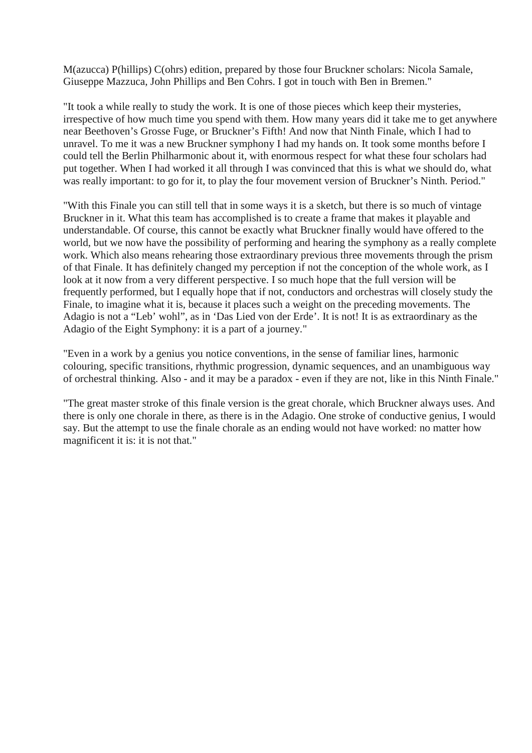M(azucca) P(hillips) C(ohrs) edition, prepared by those four Bruckner scholars: Nicola Samale, Giuseppe Mazzuca, John Phillips and Ben Cohrs. I got in touch with Ben in Bremen."

"It took a while really to study the work. It is one of those pieces which keep their mysteries, irrespective of how much time you spend with them. How many years did it take me to get anywhere near Beethoven's Grosse Fuge, or Bruckner's Fifth! And now that Ninth Finale, which I had to unravel. To me it was a new Bruckner symphony I had my hands on. It took some months before I could tell the Berlin Philharmonic about it, with enormous respect for what these four scholars had put together. When I had worked it all through I was convinced that this is what we should do, what was really important: to go for it, to play the four movement version of Bruckner's Ninth. Period."

"With this Finale you can still tell that in some ways it is a sketch, but there is so much of vintage Bruckner in it. What this team has accomplished is to create a frame that makes it playable and understandable. Of course, this cannot be exactly what Bruckner finally would have offered to the world, but we now have the possibility of performing and hearing the symphony as a really complete work. Which also means rehearing those extraordinary previous three movements through the prism of that Finale. It has definitely changed my perception if not the conception of the whole work, as I look at it now from a very different perspective. I so much hope that the full version will be frequently performed, but I equally hope that if not, conductors and orchestras will closely study the Finale, to imagine what it is, because it places such a weight on the preceding movements. The Adagio is not a "Leb' wohl", as in 'Das Lied von der Erde'. It is not! It is as extraordinary as the Adagio of the Eight Symphony: it is a part of a journey."

"Even in a work by a genius you notice conventions, in the sense of familiar lines, harmonic colouring, specific transitions, rhythmic progression, dynamic sequences, and an unambiguous way of orchestral thinking. Also - and it may be a paradox - even if they are not, like in this Ninth Finale."

"The great master stroke of this finale version is the great chorale, which Bruckner always uses. And there is only one chorale in there, as there is in the Adagio. One stroke of conductive genius, I would say. But the attempt to use the finale chorale as an ending would not have worked: no matter how magnificent it is: it is not that."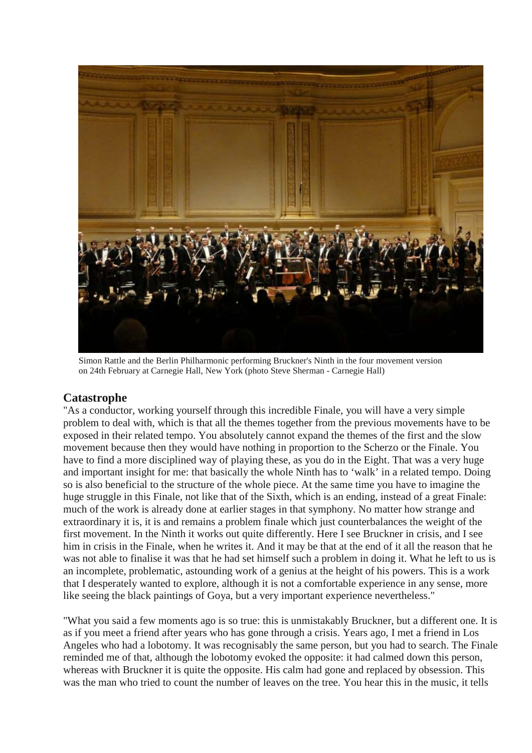

Simon Rattle and the Berlin Philharmonic performing Bruckner's Ninth in the four movement version on 24th February at Carnegie Hall, New York (photo Steve Sherman - Carnegie Hall)

### **Catastrophe**

"As a conductor, working yourself through this incredible Finale, you will have a very simple problem to deal with, which is that all the themes together from the previous movements have to be exposed in their related tempo. You absolutely cannot expand the themes of the first and the slow movement because then they would have nothing in proportion to the Scherzo or the Finale. You have to find a more disciplined way of playing these, as you do in the Eight. That was a very huge and important insight for me: that basically the whole Ninth has to 'walk' in a related tempo. Doing so is also beneficial to the structure of the whole piece. At the same time you have to imagine the huge struggle in this Finale, not like that of the Sixth, which is an ending, instead of a great Finale: much of the work is already done at earlier stages in that symphony. No matter how strange and extraordinary it is, it is and remains a problem finale which just counterbalances the weight of the first movement. In the Ninth it works out quite differently. Here I see Bruckner in crisis, and I see him in crisis in the Finale, when he writes it. And it may be that at the end of it all the reason that he was not able to finalise it was that he had set himself such a problem in doing it. What he left to us is an incomplete, problematic, astounding work of a genius at the height of his powers. This is a work that I desperately wanted to explore, although it is not a comfortable experience in any sense, more like seeing the black paintings of Goya, but a very important experience nevertheless."

"What you said a few moments ago is so true: this is unmistakably Bruckner, but a different one. It is as if you meet a friend after years who has gone through a crisis. Years ago, I met a friend in Los Angeles who had a lobotomy. It was recognisably the same person, but you had to search. The Finale reminded me of that, although the lobotomy evoked the opposite: it had calmed down this person, whereas with Bruckner it is quite the opposite. His calm had gone and replaced by obsession. This was the man who tried to count the number of leaves on the tree. You hear this in the music, it tells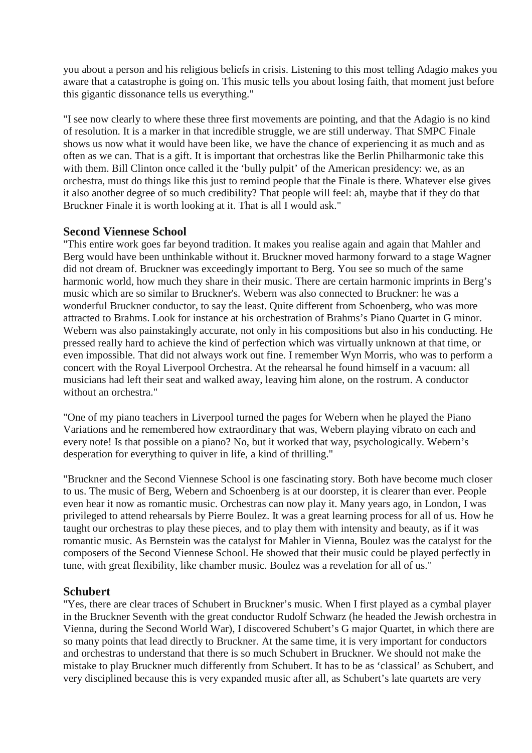you about a person and his religious beliefs in crisis. Listening to this most telling Adagio makes you aware that a catastrophe is going on. This music tells you about losing faith, that moment just before this gigantic dissonance tells us everything."

"I see now clearly to where these three first movements are pointing, and that the Adagio is no kind of resolution. It is a marker in that incredible struggle, we are still underway. That SMPC Finale shows us now what it would have been like, we have the chance of experiencing it as much and as often as we can. That is a gift. It is important that orchestras like the Berlin Philharmonic take this with them. Bill Clinton once called it the 'bully pulpit' of the American presidency: we, as an orchestra, must do things like this just to remind people that the Finale is there. Whatever else gives it also another degree of so much credibility? That people will feel: ah, maybe that if they do that Bruckner Finale it is worth looking at it. That is all I would ask."

### **Second Viennese School**

"This entire work goes far beyond tradition. It makes you realise again and again that Mahler and Berg would have been unthinkable without it. Bruckner moved harmony forward to a stage Wagner did not dream of. Bruckner was exceedingly important to Berg. You see so much of the same harmonic world, how much they share in their music. There are certain harmonic imprints in Berg's music which are so similar to Bruckner's. Webern was also connected to Bruckner: he was a wonderful Bruckner conductor, to say the least. Quite different from Schoenberg, who was more attracted to Brahms. Look for instance at his orchestration of Brahms's Piano Quartet in G minor. Webern was also painstakingly accurate, not only in his compositions but also in his conducting. He pressed really hard to achieve the kind of perfection which was virtually unknown at that time, or even impossible. That did not always work out fine. I remember Wyn Morris, who was to perform a concert with the Royal Liverpool Orchestra. At the rehearsal he found himself in a vacuum: all musicians had left their seat and walked away, leaving him alone, on the rostrum. A conductor without an orchestra."

"One of my piano teachers in Liverpool turned the pages for Webern when he played the Piano Variations and he remembered how extraordinary that was, Webern playing vibrato on each and every note! Is that possible on a piano? No, but it worked that way, psychologically. Webern's desperation for everything to quiver in life, a kind of thrilling."

"Bruckner and the Second Viennese School is one fascinating story. Both have become much closer to us. The music of Berg, Webern and Schoenberg is at our doorstep, it is clearer than ever. People even hear it now as romantic music. Orchestras can now play it. Many years ago, in London, I was privileged to attend rehearsals by Pierre Boulez. It was a great learning process for all of us. How he taught our orchestras to play these pieces, and to play them with intensity and beauty, as if it was romantic music. As Bernstein was the catalyst for Mahler in Vienna, Boulez was the catalyst for the composers of the Second Viennese School. He showed that their music could be played perfectly in tune, with great flexibility, like chamber music. Boulez was a revelation for all of us."

### **Schubert**

"Yes, there are clear traces of Schubert in Bruckner's music. When I first played as a cymbal player in the Bruckner Seventh with the great conductor Rudolf Schwarz (he headed the Jewish orchestra in Vienna, during the Second World War), I discovered Schubert's G major Quartet, in which there are so many points that lead directly to Bruckner. At the same time, it is very important for conductors and orchestras to understand that there is so much Schubert in Bruckner. We should not make the mistake to play Bruckner much differently from Schubert. It has to be as 'classical' as Schubert, and very disciplined because this is very expanded music after all, as Schubert's late quartets are very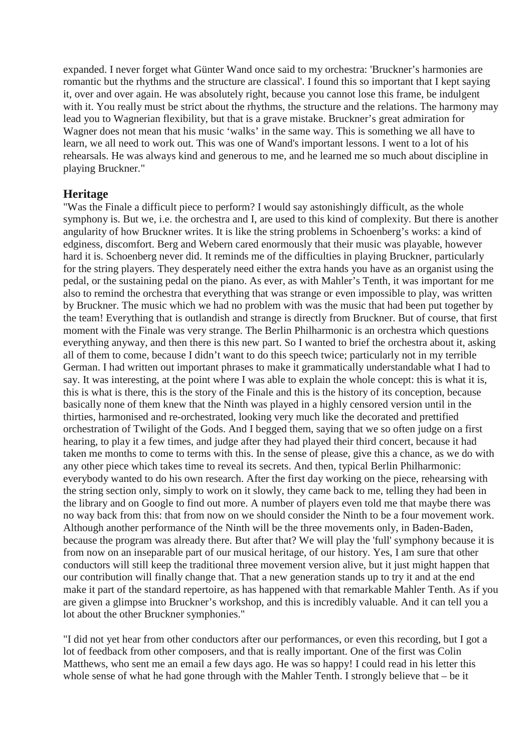expanded. I never forget what Günter Wand once said to my orchestra: 'Bruckner's harmonies are romantic but the rhythms and the structure are classical'. I found this so important that I kept saying it, over and over again. He was absolutely right, because you cannot lose this frame, be indulgent with it. You really must be strict about the rhythms, the structure and the relations. The harmony may lead you to Wagnerian flexibility, but that is a grave mistake. Bruckner's great admiration for Wagner does not mean that his music 'walks' in the same way. This is something we all have to learn, we all need to work out. This was one of Wand's important lessons. I went to a lot of his rehearsals. He was always kind and generous to me, and he learned me so much about discipline in playing Bruckner."

### **Heritage**

"Was the Finale a difficult piece to perform? I would say astonishingly difficult, as the whole symphony is. But we, i.e. the orchestra and I, are used to this kind of complexity. But there is another angularity of how Bruckner writes. It is like the string problems in Schoenberg's works: a kind of edginess, discomfort. Berg and Webern cared enormously that their music was playable, however hard it is. Schoenberg never did. It reminds me of the difficulties in playing Bruckner, particularly for the string players. They desperately need either the extra hands you have as an organist using the pedal, or the sustaining pedal on the piano. As ever, as with Mahler's Tenth, it was important for me also to remind the orchestra that everything that was strange or even impossible to play, was written by Bruckner. The music which we had no problem with was the music that had been put together by the team! Everything that is outlandish and strange is directly from Bruckner. But of course, that first moment with the Finale was very strange. The Berlin Philharmonic is an orchestra which questions everything anyway, and then there is this new part. So I wanted to brief the orchestra about it, asking all of them to come, because I didn't want to do this speech twice; particularly not in my terrible German. I had written out important phrases to make it grammatically understandable what I had to say. It was interesting, at the point where I was able to explain the whole concept: this is what it is, this is what is there, this is the story of the Finale and this is the history of its conception, because basically none of them knew that the Ninth was played in a highly censored version until in the thirties, harmonised and re-orchestrated, looking very much like the decorated and prettified orchestration of Twilight of the Gods. And I begged them, saying that we so often judge on a first hearing, to play it a few times, and judge after they had played their third concert, because it had taken me months to come to terms with this. In the sense of please, give this a chance, as we do with any other piece which takes time to reveal its secrets. And then, typical Berlin Philharmonic: everybody wanted to do his own research. After the first day working on the piece, rehearsing with the string section only, simply to work on it slowly, they came back to me, telling they had been in the library and on Google to find out more. A number of players even told me that maybe there was no way back from this: that from now on we should consider the Ninth to be a four movement work. Although another performance of the Ninth will be the three movements only, in Baden-Baden, because the program was already there. But after that? We will play the 'full' symphony because it is from now on an inseparable part of our musical heritage, of our history. Yes, I am sure that other conductors will still keep the traditional three movement version alive, but it just might happen that our contribution will finally change that. That a new generation stands up to try it and at the end make it part of the standard repertoire, as has happened with that remarkable Mahler Tenth. As if you are given a glimpse into Bruckner's workshop, and this is incredibly valuable. And it can tell you a lot about the other Bruckner symphonies."

"I did not yet hear from other conductors after our performances, or even this recording, but I got a lot of feedback from other composers, and that is really important. One of the first was Colin Matthews, who sent me an email a few days ago. He was so happy! I could read in his letter this whole sense of what he had gone through with the Mahler Tenth. I strongly believe that – be it